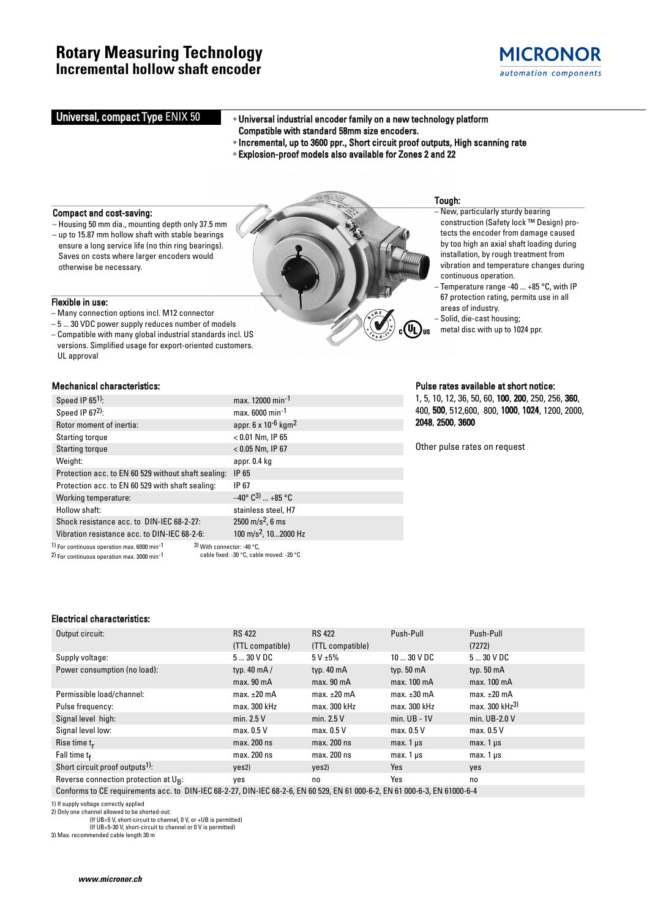### **Rotary Measuring Technology Incremental hollow shaft encoder**



### Universal, compact Type ENIX 50

•• Universal industrial encoder family on a new technology platform Compatible with standard 58mm size encoders.

- Incremental, up to 3600 ppr., Short circuit proof outputs, High scanning rate
- Explosion-proof models also available for Zones 2 and 22

#### Compact and cost-saving:

Flexible in use:

UL approval

– Housing 50 mm dia., mounting depth only 37.5 mm – up to 15.87 mm hollow shaft with stable bearings ensure a long service life (no thin ring bearings). Saves on costs where larger encoders would otherwise be necessary.

– Many connection options incl. M12 connector – 5 ... 30 VDC power supply reduces number of models – Compatible with many global industrial standards incl. US versions. Simplified usage for export-oriented customers.

## Tough:

- New, particularly sturdy bearing construction (Safety lock ™ Design) protects the encoder from damage caused by too high an axial shaft loading during installation, by rough treatment from vibration and temperature changes during continuous operation.
- Temperature range -40 ... +85 °C, with IP 67 protection rating, permits use in all areas of industry.
- Solid, die-cast housing;
- metal disc with up to 1024 ppr.

| Speed IP $651$ :                                                                                                                                            | max. 12000 min <sup>-1</sup>                |  |  |  |
|-------------------------------------------------------------------------------------------------------------------------------------------------------------|---------------------------------------------|--|--|--|
| Speed IP 672):                                                                                                                                              | max. 6000 min <sup>-1</sup>                 |  |  |  |
| Rotor moment of inertia:                                                                                                                                    | appr. 6 x 10 <sup>-6</sup> kgm <sup>2</sup> |  |  |  |
| Starting torque                                                                                                                                             | $< 0.01$ Nm, IP 65                          |  |  |  |
| <b>Starting torque</b>                                                                                                                                      | $< 0.05$ Nm, IP 67                          |  |  |  |
| Weight:                                                                                                                                                     | appr. 0.4 kg                                |  |  |  |
| Protection acc. to EN 60 529 without shaft sealing:                                                                                                         | IP 65                                       |  |  |  |
| Protection acc. to EN 60 529 with shaft sealing:                                                                                                            | IP 67                                       |  |  |  |
| Working temperature:                                                                                                                                        | $-40^{\circ}$ C <sup>3</sup> )  +85 °C      |  |  |  |
| Hollow shaft:                                                                                                                                               | stainless steel, H7                         |  |  |  |
| Shock resistance acc. to DIN-IEC 68-2-27:                                                                                                                   | $2500 \text{ m/s}^2$ , 6 ms                 |  |  |  |
| Vibration resistance acc. to DIN-IEC 68-2-6:                                                                                                                | 100 m/s <sup>2</sup> , 102000 Hz            |  |  |  |
| 1) For continuous operation max. 6000 min <sup>-1</sup><br>3) With connector: -40 °C,<br><sup>2)</sup> For continuous operation max. 3000 min <sup>-1</sup> | cable fixed: -30 °C, cable moved: -20 °C    |  |  |  |

Mechanical characteristics: Pulse rates available at short notice:

1, 5, 10, 12, 36, 50, 60, 100, 200, 250, 256, 360, 400, 500, 512,600, 800, 1000, 1024, 1200, 2000, 2048, 2500, 3600

Other pulse rates on request

### Electrical characteristics:

| Output circuit:                             | <b>RS 422</b>          | <b>RS 422</b>          | Push-Pull            | Push-Pull                  |
|---------------------------------------------|------------------------|------------------------|----------------------|----------------------------|
|                                             | (TTL compatible)       | (TTL compatible)       |                      | (7272)                     |
| Supply voltage:                             | 530VDC                 | 5 V ± 5%               | $1030$ V DC          | $530$ V DC                 |
| Power consumption (no load):                | typ. $40 \text{ mA}$   | typ. $40 \text{ mA}$   | typ. $50 \text{ mA}$ | typ. $50 \text{ mA}$       |
|                                             | max. 90 <sub>m</sub> A | max. 90 <sub>m</sub> A | max. 100 mA          | max. 100 mA                |
| Permissible load/channel:                   | max. $\pm 20$ mA       | $max. \pm 20$ mA       | max. $\pm 30$ mA     | max. $\pm 20$ mA           |
| Pulse frequency:                            | max. 300 kHz           | max. 300 kHz           | max. 300 kHz         | max. 300 kHz <sup>3)</sup> |
| Signal level high:                          | min. $2.5V$            | min. $2.5V$            | $min$ . UB - 1V      | min. UB-2.0 V              |
| Signal level low:                           | max. 0.5 V             | max. 0.5 V             | max. 0.5 V           | max. 0.5 V                 |
| Rise time $t_r$                             | max. 200 ns            | max. 200 ns            | $max.1 \,\mu s$      | max. $1 \mu s$             |
| Fall time $t_f$                             | max. 200 ns            | max. 200 ns            | $max.1 \,\mu s$      | max. $1 \mu s$             |
| Short circuit proof outputs <sup>1)</sup> : | yes2)                  | yes2)                  | Yes                  | yes                        |
| Reverse connection protection at $U_{R}$ :  | yes                    | no                     | Yes                  | no                         |
|                                             |                        |                        |                      |                            |

Conforms to CE requirements acc. to DIN-IEC 68-2-27, DIN-IEC 68-2-6, EN 60 529, EN 61 000-6-2, EN 61 000-6-3, EN 61000-6-4

1) If supply voltage correctly applied 2) Only one channel allowed to be shorted-out:

(If UB=5 V, short-circuit to channel, 0 V, or +UB is permitted) (If UB=5-30 V, short-circuit to channel or 0 V is permitted)

3) Max. recommended cable length 30 m

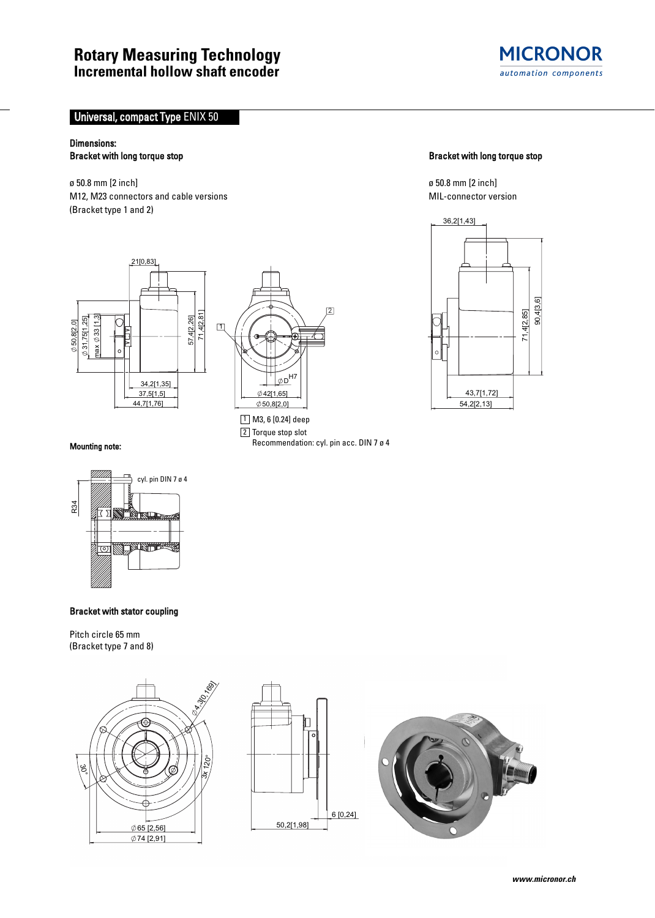

### **Universal, compact Type ENIX 50**

# Dimensions:

ø 50.8 mm [2 inch] ø 50.8 mm [2 inch] M12, M23 connectors and cable versions MIL-connector version (Bracket type 1 and 2)





<u>1 |</u> M3, 6 [0.24] deep  $2$  Torque stop slot

Recommendation: cyl. pin acc. DIN 7 ø 4

#### Bracket with long torque stop example and the Bracket with long torque stop example and Bracket with long torque stop



#### Mounting note:



#### Bracket with stator coupling

Pitch circle 65 mm (Bracket type 7 and 8)





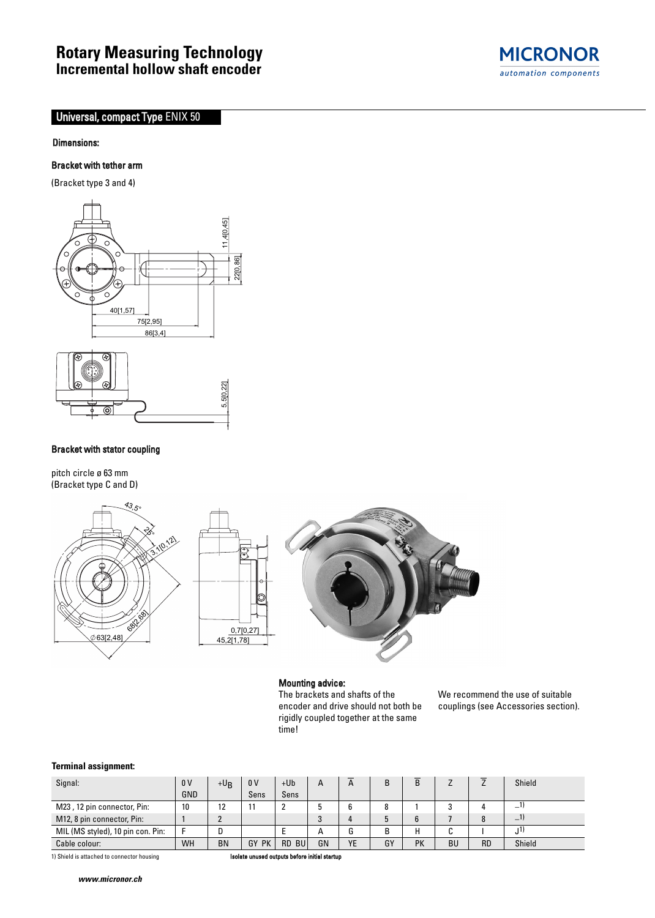# **Rotary Measuring Technology Incremental hollow shaft encoder**

# Universal, compact Type ENIX 50

#### Dimensions:

#### Bracket with tether arm

(Bracket type 3 and 4)



#### Bracket with stator coupling

pitch circle ø 63 mm (Bracket type C and D)





#### Mounting advice:

0,7[0,27] 45,2[1,78]

> The brackets and shafts of the encoder and drive should not both be rigidly coupled together at the same time!

We recommend the use of suitable couplings (see Accessories section).

#### **Terminal assignment:**

| Signal:                                                                                     | 0 <sup>V</sup> | $+U_B$    | 0 <sub>V</sub> | $+Ub$ | A  | A         |    | B         |           |           | Shield         |
|---------------------------------------------------------------------------------------------|----------------|-----------|----------------|-------|----|-----------|----|-----------|-----------|-----------|----------------|
|                                                                                             | GND            |           | Sens           | Sens  |    |           |    |           |           |           |                |
| M23, 12 pin connector, Pin:                                                                 | 10             | 12        |                | 2     |    |           |    |           |           |           | _'             |
| M12, 8 pin connector, Pin:                                                                  |                |           |                |       | o  | 4         |    |           |           |           | $-1)$          |
| MIL (MS styled), 10 pin con. Pin:                                                           |                | D         |                |       | А  | G         | B  | Н         |           |           | J <sup>1</sup> |
| Cable colour:                                                                               | WH             | <b>BN</b> | GY PK          | RD BU | GN | <b>YE</b> | GY | <b>PK</b> | <b>BU</b> | <b>RD</b> | Shield         |
| Isolate unused outputs before initial startup<br>1) Shield is attached to connector housing |                |           |                |       |    |           |    |           |           |           |                |